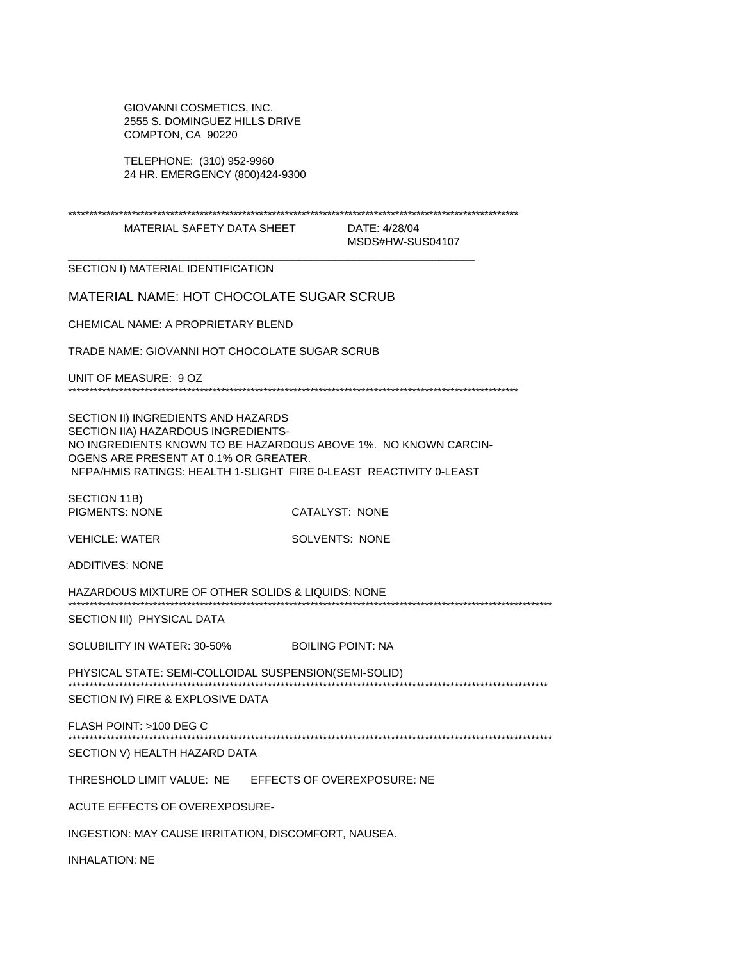GIOVANNI COSMETICS, INC. 2555 S. DOMINGUEZ HILLS DRIVE COMPTON, CA 90220

TELEPHONE: (310) 952-9960 24 HR. EMERGENCY (800)424-9300

| MATERIAL SAFETY DATA SHEET                                                                                                                                                                                                                                   |  | DATE: 4/28/04<br>MSDS#HW-SUS04107 |
|--------------------------------------------------------------------------------------------------------------------------------------------------------------------------------------------------------------------------------------------------------------|--|-----------------------------------|
| SECTION I) MATERIAL IDENTIFICATION                                                                                                                                                                                                                           |  |                                   |
|                                                                                                                                                                                                                                                              |  |                                   |
| <b>MATERIAL NAME: HOT CHOCOLATE SUGAR SCRUB</b>                                                                                                                                                                                                              |  |                                   |
| CHEMICAL NAME: A PROPRIETARY BLEND                                                                                                                                                                                                                           |  |                                   |
| TRADE NAME: GIOVANNI HOT CHOCOLATE SUGAR SCRUB                                                                                                                                                                                                               |  |                                   |
| UNIT OF MEASURE: 9 OZ                                                                                                                                                                                                                                        |  |                                   |
| SECTION II) INGREDIENTS AND HAZARDS<br>SECTION IIA) HAZARDOUS INGREDIENTS-<br>NO INGREDIENTS KNOWN TO BE HAZARDOUS ABOVE 1%. NO KNOWN CARCIN-<br>OGENS ARE PRESENT AT 0.1% OR GREATER.<br>NFPA/HMIS RATINGS: HEALTH 1-SLIGHT FIRE 0-LEAST REACTIVITY 0-LEAST |  |                                   |
| SECTION 11B)<br><b>PIGMENTS: NONE</b>                                                                                                                                                                                                                        |  | CATALYST: NONE                    |
| <b>VEHICLE: WATER</b>                                                                                                                                                                                                                                        |  | <b>SOLVENTS: NONE</b>             |
| <b>ADDITIVES: NONE</b>                                                                                                                                                                                                                                       |  |                                   |
| HAZARDOUS MIXTURE OF OTHER SOLIDS & LIQUIDS: NONE<br>SECTION III) PHYSICAL DATA                                                                                                                                                                              |  |                                   |
| SOLUBILITY IN WATER: 30-50%                                                                                                                                                                                                                                  |  | <b>BOILING POINT: NA</b>          |
| PHYSICAL STATE: SEMI-COLLOIDAL SUSPENSION(SEMI-SOLID)<br>SECTION IV) FIRE & EXPLOSIVE DATA                                                                                                                                                                   |  |                                   |
| FLASH POINT: >100 DEG C                                                                                                                                                                                                                                      |  |                                   |
| SECTION V) HEALTH HAZARD DATA                                                                                                                                                                                                                                |  |                                   |
| THRESHOLD LIMIT VALUE: NE                                                                                                                                                                                                                                    |  | EFFECTS OF OVEREXPOSURE: NE       |
| ACUTE EFFECTS OF OVEREXPOSURE-                                                                                                                                                                                                                               |  |                                   |
| INGESTION: MAY CAUSE IRRITATION, DISCOMFORT, NAUSEA.                                                                                                                                                                                                         |  |                                   |
| <b>INHALATION: NE</b>                                                                                                                                                                                                                                        |  |                                   |